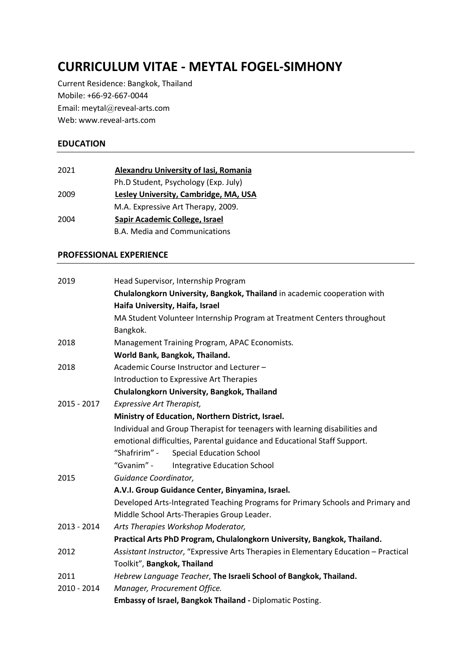# **CURRICULUM VITAE - MEYTAL FOGEL-SIMHONY**

Current Residence: Bangkok, Thailand Mobile: +66-92-667-0044 Email: meytal@reveal-arts.com Web: www.reveal-arts.com

## **EDUCATION**

| 2021 | Alexandru University of Iasi, Romania |
|------|---------------------------------------|
|      | Ph.D Student, Psychology (Exp. July)  |
| 2009 | Lesley University, Cambridge, MA, USA |
|      | M.A. Expressive Art Therapy, 2009.    |
| 2004 | Sapir Academic College, Israel        |
|      | <b>B.A. Media and Communications</b>  |

#### **PROFESSIONAL EXPERIENCE**

| 2019        | Head Supervisor, Internship Program                                                  |
|-------------|--------------------------------------------------------------------------------------|
|             | Chulalongkorn University, Bangkok, Thailand in academic cooperation with             |
|             | Haifa University, Haifa, Israel                                                      |
|             | MA Student Volunteer Internship Program at Treatment Centers throughout              |
|             |                                                                                      |
|             | Bangkok.                                                                             |
| 2018        | Management Training Program, APAC Economists.                                        |
|             | World Bank, Bangkok, Thailand.                                                       |
| 2018        | Academic Course Instructor and Lecturer -                                            |
|             | Introduction to Expressive Art Therapies                                             |
|             | Chulalongkorn University, Bangkok, Thailand                                          |
| 2015 - 2017 | <b>Expressive Art Therapist,</b>                                                     |
|             | Ministry of Education, Northern District, Israel.                                    |
|             | Individual and Group Therapist for teenagers with learning disabilities and          |
|             | emotional difficulties, Parental guidance and Educational Staff Support.             |
|             | "Shafririm" -<br><b>Special Education School</b>                                     |
|             | "Gvanim" -<br><b>Integrative Education School</b>                                    |
| 2015        | Guidance Coordinator,                                                                |
|             | A.V.I. Group Guidance Center, Binyamina, Israel.                                     |
|             | Developed Arts-Integrated Teaching Programs for Primary Schools and Primary and      |
|             | Middle School Arts-Therapies Group Leader.                                           |
| 2013 - 2014 | Arts Therapies Workshop Moderator,                                                   |
|             | Practical Arts PhD Program, Chulalongkorn University, Bangkok, Thailand.             |
| 2012        | Assistant Instructor, "Expressive Arts Therapies in Elementary Education - Practical |
|             | Toolkit", Bangkok, Thailand                                                          |
| 2011        | Hebrew Language Teacher, The Israeli School of Bangkok, Thailand.                    |
| 2010 - 2014 | Manager, Procurement Office.                                                         |
|             | Embassy of Israel, Bangkok Thailand - Diplomatic Posting.                            |
|             |                                                                                      |